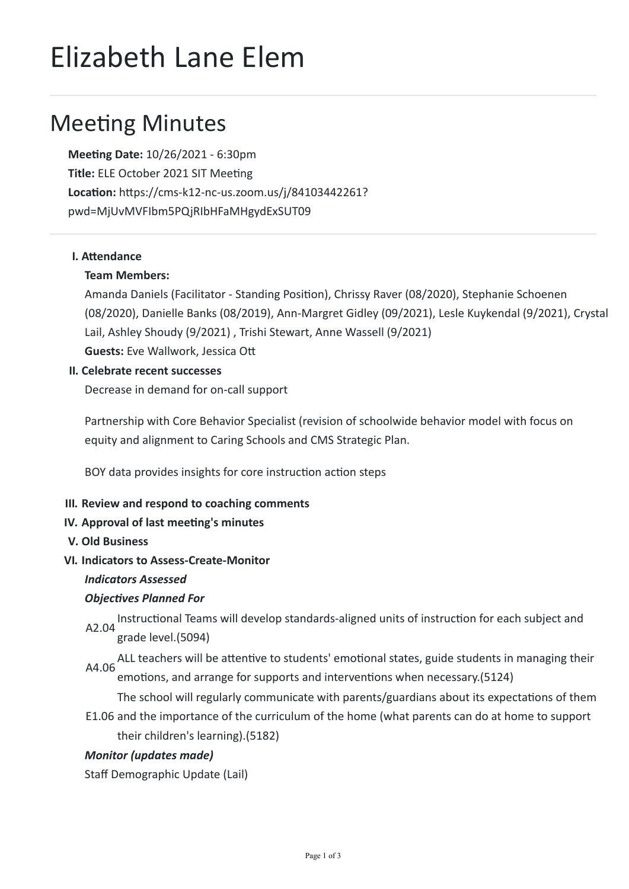# Elizabeth Lane Elem

# **Meeting Minutes**

**Meeng Date:** 10/26/2021 - 6:30pm **Title: ELE October 2021 SIT Meeting Location:** https://cms-k12-nc-us.zoom.us/j/84103442261? pwd=MjUvMVFIbm5PQjRIbHFaMHgydExSUT09

# **I.** Attendance

# **Team Members:**

Amanda Daniels (Facilitator - Standing Position), Chrissy Raver (08/2020), Stephanie Schoenen (08/2020), Danielle Banks (08/2019), Ann-Margret Gidley (09/2021), Lesle Kuykendal (9/2021), Crystal Lail, Ashley Shoudy (9/2021) , Trishi Stewart, Anne Wassell (9/2021) **Guests: Eve Wallwork, Jessica Ott** 

# **II. Celebrate recent successes**

Decrease in demand for on-call support

Partnership with Core Behavior Specialist (revision of schoolwide behavior model with focus on equity and alignment to Caring Schools and CMS Strategic Plan.

BOY data provides insights for core instruction action steps

## **III. Review and respond to coaching comments**

## **IV. Approval of last meeting's minutes**

**V. Old Business**

# **VI. Indicators to Assess-Create-Monitor**

## *Indicators Assessed*

# **Objectives Planned For**

A2.04 Instructional Teams will develop standards-aligned units of instruction for each subject and grade level.(5094)

A4.06 ALL teachers will be attentive to students' emotional states, guide students in managing their emotions, and arrange for supports and interventions when necessary.(5124)

E1.06 and the importance of the curriculum of the home (what parents can do at home to support The school will regularly communicate with parents/guardians about its expectations of them their children's learning).(5182)

# *Monitor (updates made)*

Staff Demographic Update (Lail)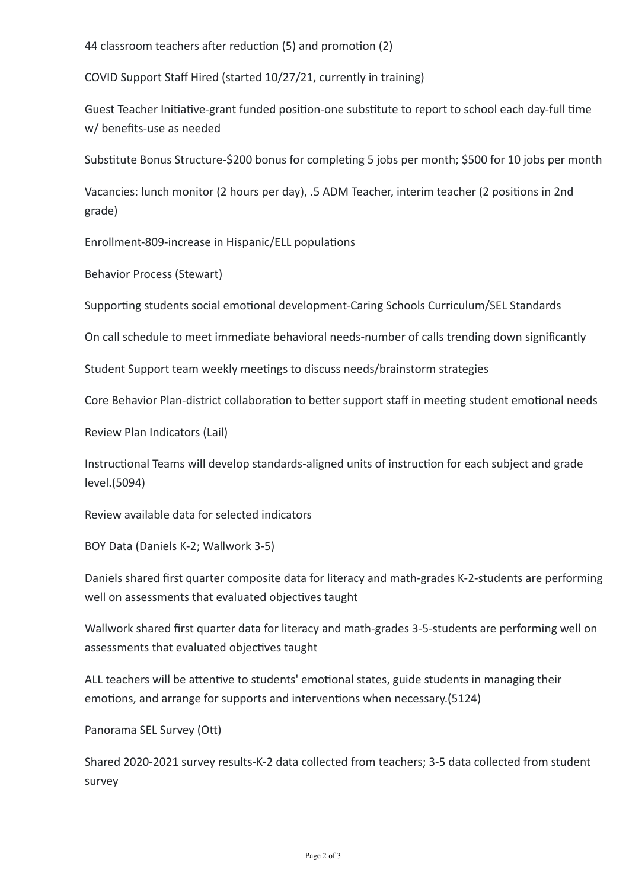44 classroom teachers after reduction (5) and promotion (2)

COVID Support Staff Hired (started 10/27/21, currently in training)

Guest Teacher Initiative-grant funded position-one substitute to report to school each day-full time w/ benefits-use as needed

Substitute Bonus Structure-\$200 bonus for completing 5 jobs per month; \$500 for 10 jobs per month

Vacancies: lunch monitor (2 hours per day), .5 ADM Teacher, interim teacher (2 positions in 2nd grade)

Enrollment-809-increase in Hispanic/ELL populations

Behavior Process (Stewart)

Supporting students social emotional development-Caring Schools Curriculum/SEL Standards

On call schedule to meet immediate behavioral needs-number of calls trending down significantly

Student Support team weekly meetings to discuss needs/brainstorm strategies

Core Behavior Plan-district collaboration to better support staff in meeting student emotional needs

Review Plan Indicators (Lail)

Instructional Teams will develop standards-aligned units of instruction for each subject and grade level.(5094)

Review available data for selected indicators

BOY Data (Daniels K-2; Wallwork 3-5)

Daniels shared first quarter composite data for literacy and math-grades K-2-students are performing well on assessments that evaluated objectives taught

Wallwork shared first quarter data for literacy and math-grades 3-5-students are performing well on assessments that evaluated objectives taught

ALL teachers will be attentive to students' emotional states, guide students in managing their emotions, and arrange for supports and interventions when necessary.(5124)

Panorama SEL Survey (Ott)

Shared 2020-2021 survey results-K-2 data collected from teachers; 3-5 data collected from student survey